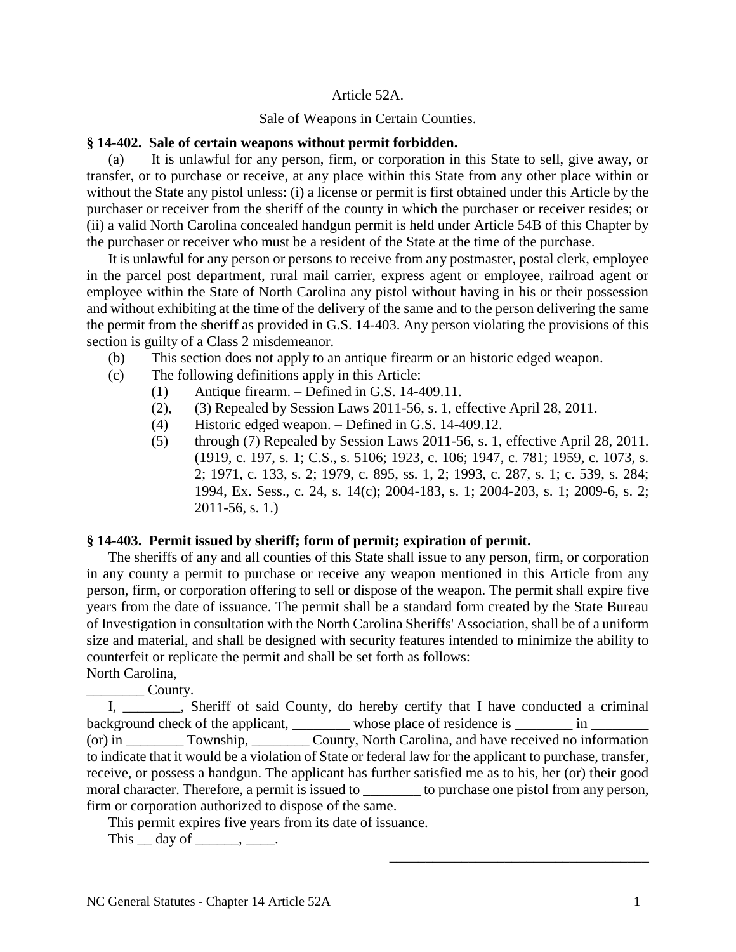## Article 52A.

### Sale of Weapons in Certain Counties.

### **§ 14-402. Sale of certain weapons without permit forbidden.**

(a) It is unlawful for any person, firm, or corporation in this State to sell, give away, or transfer, or to purchase or receive, at any place within this State from any other place within or without the State any pistol unless: (i) a license or permit is first obtained under this Article by the purchaser or receiver from the sheriff of the county in which the purchaser or receiver resides; or (ii) a valid North Carolina concealed handgun permit is held under Article 54B of this Chapter by the purchaser or receiver who must be a resident of the State at the time of the purchase.

It is unlawful for any person or persons to receive from any postmaster, postal clerk, employee in the parcel post department, rural mail carrier, express agent or employee, railroad agent or employee within the State of North Carolina any pistol without having in his or their possession and without exhibiting at the time of the delivery of the same and to the person delivering the same the permit from the sheriff as provided in G.S. 14-403. Any person violating the provisions of this section is guilty of a Class 2 misdemeanor.

- (b) This section does not apply to an antique firearm or an historic edged weapon.
- (c) The following definitions apply in this Article:
	- (1) Antique firearm. Defined in G.S. 14-409.11.
	- (2), (3) Repealed by Session Laws 2011-56, s. 1, effective April 28, 2011.
	- (4) Historic edged weapon. Defined in G.S. 14-409.12.
	- (5) through (7) Repealed by Session Laws 2011-56, s. 1, effective April 28, 2011. (1919, c. 197, s. 1; C.S., s. 5106; 1923, c. 106; 1947, c. 781; 1959, c. 1073, s. 2; 1971, c. 133, s. 2; 1979, c. 895, ss. 1, 2; 1993, c. 287, s. 1; c. 539, s. 284; 1994, Ex. Sess., c. 24, s. 14(c); 2004-183, s. 1; 2004-203, s. 1; 2009-6, s. 2; 2011-56, s. 1.)

# **§ 14-403. Permit issued by sheriff; form of permit; expiration of permit.**

The sheriffs of any and all counties of this State shall issue to any person, firm, or corporation in any county a permit to purchase or receive any weapon mentioned in this Article from any person, firm, or corporation offering to sell or dispose of the weapon. The permit shall expire five years from the date of issuance. The permit shall be a standard form created by the State Bureau of Investigation in consultation with the North Carolina Sheriffs' Association, shall be of a uniform size and material, and shall be designed with security features intended to minimize the ability to counterfeit or replicate the permit and shall be set forth as follows: North Carolina,

\_\_\_\_\_\_\_\_ County.

I, \_\_\_\_\_\_\_\_, Sheriff of said County, do hereby certify that I have conducted a criminal background check of the applicant, \_\_\_\_\_\_\_\_ whose place of residence is  $\frac{ }{ }$  in  $\frac{ }{ }$ (or) in \_\_\_\_\_\_\_\_ Township, \_\_\_\_\_\_\_\_ County, North Carolina, and have received no information to indicate that it would be a violation of State or federal law for the applicant to purchase, transfer, receive, or possess a handgun. The applicant has further satisfied me as to his, her (or) their good moral character. Therefore, a permit is issued to \_\_\_\_\_\_\_\_ to purchase one pistol from any person, firm or corporation authorized to dispose of the same.

This permit expires five years from its date of issuance.

This  $\_\_$  day of  $\_\_\_\_\_\_\_\.\_\_\$ .

\_\_\_\_\_\_\_\_\_\_\_\_\_\_\_\_\_\_\_\_\_\_\_\_\_\_\_\_\_\_\_\_\_\_\_\_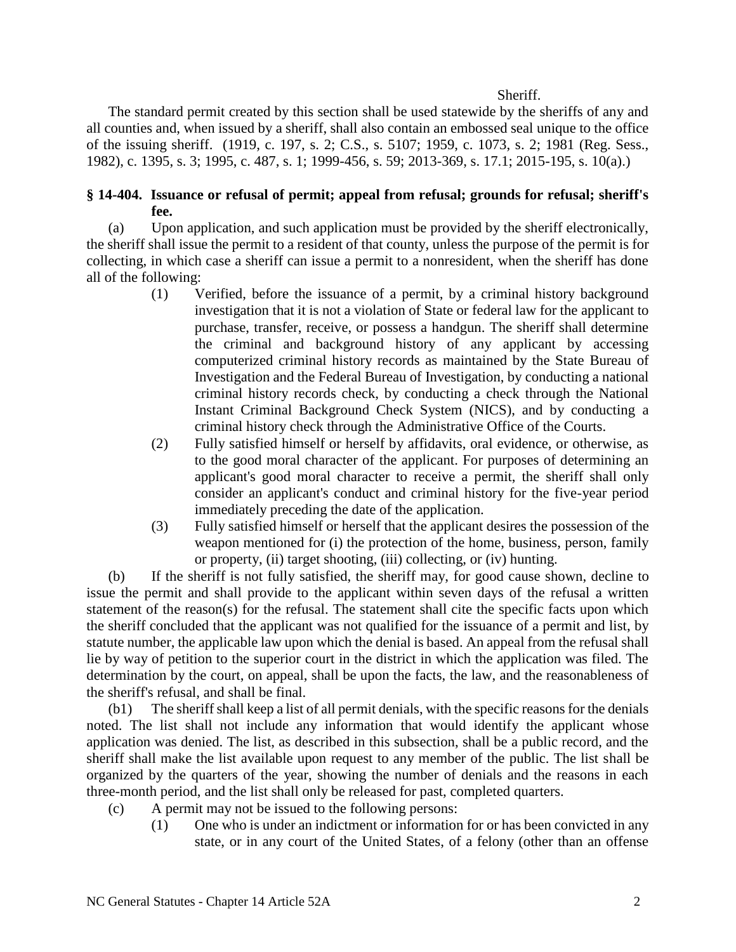#### Sheriff.

The standard permit created by this section shall be used statewide by the sheriffs of any and all counties and, when issued by a sheriff, shall also contain an embossed seal unique to the office of the issuing sheriff. (1919, c. 197, s. 2; C.S., s. 5107; 1959, c. 1073, s. 2; 1981 (Reg. Sess., 1982), c. 1395, s. 3; 1995, c. 487, s. 1; 1999-456, s. 59; 2013-369, s. 17.1; 2015-195, s. 10(a).)

# **§ 14-404. Issuance or refusal of permit; appeal from refusal; grounds for refusal; sheriff's fee.**

(a) Upon application, and such application must be provided by the sheriff electronically, the sheriff shall issue the permit to a resident of that county, unless the purpose of the permit is for collecting, in which case a sheriff can issue a permit to a nonresident, when the sheriff has done all of the following:

- (1) Verified, before the issuance of a permit, by a criminal history background investigation that it is not a violation of State or federal law for the applicant to purchase, transfer, receive, or possess a handgun. The sheriff shall determine the criminal and background history of any applicant by accessing computerized criminal history records as maintained by the State Bureau of Investigation and the Federal Bureau of Investigation, by conducting a national criminal history records check, by conducting a check through the National Instant Criminal Background Check System (NICS), and by conducting a criminal history check through the Administrative Office of the Courts.
- (2) Fully satisfied himself or herself by affidavits, oral evidence, or otherwise, as to the good moral character of the applicant. For purposes of determining an applicant's good moral character to receive a permit, the sheriff shall only consider an applicant's conduct and criminal history for the five-year period immediately preceding the date of the application.
- (3) Fully satisfied himself or herself that the applicant desires the possession of the weapon mentioned for (i) the protection of the home, business, person, family or property, (ii) target shooting, (iii) collecting, or (iv) hunting.

(b) If the sheriff is not fully satisfied, the sheriff may, for good cause shown, decline to issue the permit and shall provide to the applicant within seven days of the refusal a written statement of the reason(s) for the refusal. The statement shall cite the specific facts upon which the sheriff concluded that the applicant was not qualified for the issuance of a permit and list, by statute number, the applicable law upon which the denial is based. An appeal from the refusal shall lie by way of petition to the superior court in the district in which the application was filed. The determination by the court, on appeal, shall be upon the facts, the law, and the reasonableness of the sheriff's refusal, and shall be final.

(b1) The sheriff shall keep a list of all permit denials, with the specific reasons for the denials noted. The list shall not include any information that would identify the applicant whose application was denied. The list, as described in this subsection, shall be a public record, and the sheriff shall make the list available upon request to any member of the public. The list shall be organized by the quarters of the year, showing the number of denials and the reasons in each three-month period, and the list shall only be released for past, completed quarters.

- (c) A permit may not be issued to the following persons:
	- (1) One who is under an indictment or information for or has been convicted in any state, or in any court of the United States, of a felony (other than an offense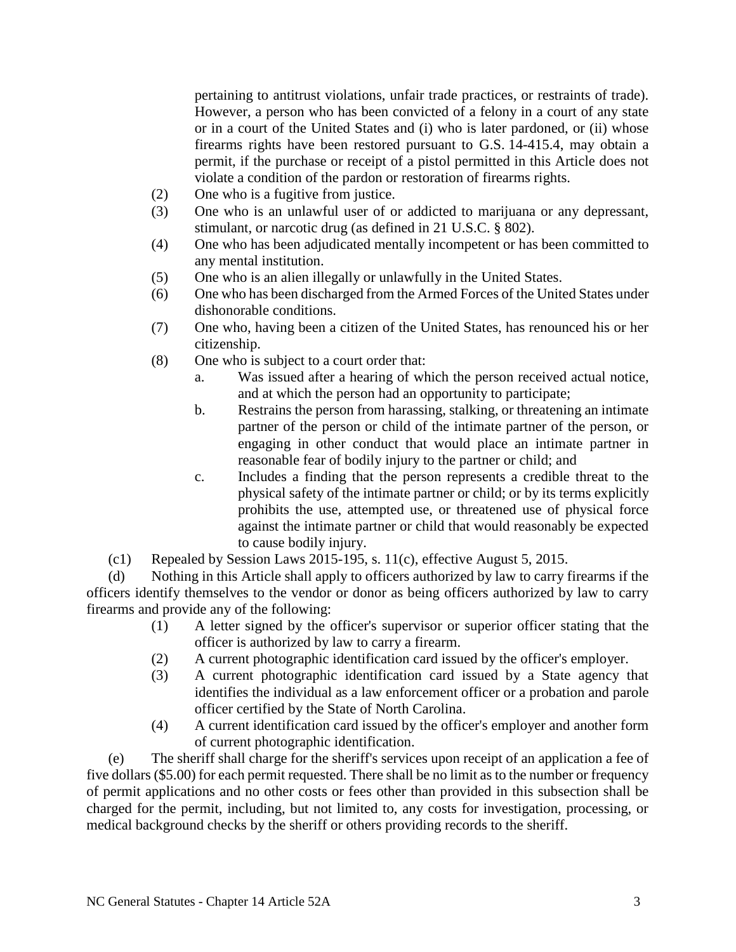pertaining to antitrust violations, unfair trade practices, or restraints of trade). However, a person who has been convicted of a felony in a court of any state or in a court of the United States and (i) who is later pardoned, or (ii) whose firearms rights have been restored pursuant to G.S. 14-415.4, may obtain a permit, if the purchase or receipt of a pistol permitted in this Article does not violate a condition of the pardon or restoration of firearms rights.

- (2) One who is a fugitive from justice.
- (3) One who is an unlawful user of or addicted to marijuana or any depressant, stimulant, or narcotic drug (as defined in 21 U.S.C. § 802).
- (4) One who has been adjudicated mentally incompetent or has been committed to any mental institution.
- (5) One who is an alien illegally or unlawfully in the United States.
- (6) One who has been discharged from the Armed Forces of the United States under dishonorable conditions.
- (7) One who, having been a citizen of the United States, has renounced his or her citizenship.
- (8) One who is subject to a court order that:
	- a. Was issued after a hearing of which the person received actual notice, and at which the person had an opportunity to participate;
	- b. Restrains the person from harassing, stalking, or threatening an intimate partner of the person or child of the intimate partner of the person, or engaging in other conduct that would place an intimate partner in reasonable fear of bodily injury to the partner or child; and
	- c. Includes a finding that the person represents a credible threat to the physical safety of the intimate partner or child; or by its terms explicitly prohibits the use, attempted use, or threatened use of physical force against the intimate partner or child that would reasonably be expected to cause bodily injury.
- (c1) Repealed by Session Laws 2015-195, s. 11(c), effective August 5, 2015.

(d) Nothing in this Article shall apply to officers authorized by law to carry firearms if the officers identify themselves to the vendor or donor as being officers authorized by law to carry firearms and provide any of the following:

- (1) A letter signed by the officer's supervisor or superior officer stating that the officer is authorized by law to carry a firearm.
- (2) A current photographic identification card issued by the officer's employer.
- (3) A current photographic identification card issued by a State agency that identifies the individual as a law enforcement officer or a probation and parole officer certified by the State of North Carolina.
- (4) A current identification card issued by the officer's employer and another form of current photographic identification.

(e) The sheriff shall charge for the sheriff's services upon receipt of an application a fee of five dollars (\$5.00) for each permit requested. There shall be no limit as to the number or frequency of permit applications and no other costs or fees other than provided in this subsection shall be charged for the permit, including, but not limited to, any costs for investigation, processing, or medical background checks by the sheriff or others providing records to the sheriff.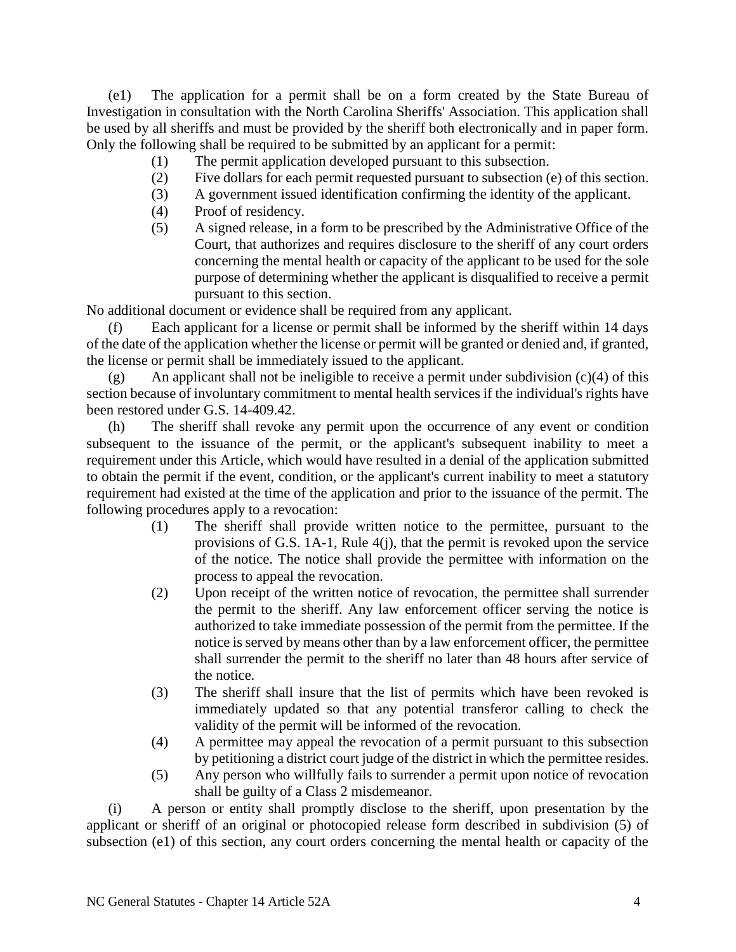(e1) The application for a permit shall be on a form created by the State Bureau of Investigation in consultation with the North Carolina Sheriffs' Association. This application shall be used by all sheriffs and must be provided by the sheriff both electronically and in paper form. Only the following shall be required to be submitted by an applicant for a permit:

- (1) The permit application developed pursuant to this subsection.
- (2) Five dollars for each permit requested pursuant to subsection (e) of this section.
- (3) A government issued identification confirming the identity of the applicant.
- (4) Proof of residency.
- (5) A signed release, in a form to be prescribed by the Administrative Office of the Court, that authorizes and requires disclosure to the sheriff of any court orders concerning the mental health or capacity of the applicant to be used for the sole purpose of determining whether the applicant is disqualified to receive a permit pursuant to this section.

No additional document or evidence shall be required from any applicant.

(f) Each applicant for a license or permit shall be informed by the sheriff within 14 days of the date of the application whether the license or permit will be granted or denied and, if granted, the license or permit shall be immediately issued to the applicant.

(g) An applicant shall not be ineligible to receive a permit under subdivision  $(c)(4)$  of this section because of involuntary commitment to mental health services if the individual's rights have been restored under G.S. 14-409.42.

(h) The sheriff shall revoke any permit upon the occurrence of any event or condition subsequent to the issuance of the permit, or the applicant's subsequent inability to meet a requirement under this Article, which would have resulted in a denial of the application submitted to obtain the permit if the event, condition, or the applicant's current inability to meet a statutory requirement had existed at the time of the application and prior to the issuance of the permit. The following procedures apply to a revocation:

- (1) The sheriff shall provide written notice to the permittee, pursuant to the provisions of G.S. 1A-1, Rule 4(j), that the permit is revoked upon the service of the notice. The notice shall provide the permittee with information on the process to appeal the revocation.
- (2) Upon receipt of the written notice of revocation, the permittee shall surrender the permit to the sheriff. Any law enforcement officer serving the notice is authorized to take immediate possession of the permit from the permittee. If the notice is served by means other than by a law enforcement officer, the permittee shall surrender the permit to the sheriff no later than 48 hours after service of the notice.
- (3) The sheriff shall insure that the list of permits which have been revoked is immediately updated so that any potential transferor calling to check the validity of the permit will be informed of the revocation.
- (4) A permittee may appeal the revocation of a permit pursuant to this subsection by petitioning a district court judge of the district in which the permittee resides.
- (5) Any person who willfully fails to surrender a permit upon notice of revocation shall be guilty of a Class 2 misdemeanor.

(i) A person or entity shall promptly disclose to the sheriff, upon presentation by the applicant or sheriff of an original or photocopied release form described in subdivision (5) of subsection (e1) of this section, any court orders concerning the mental health or capacity of the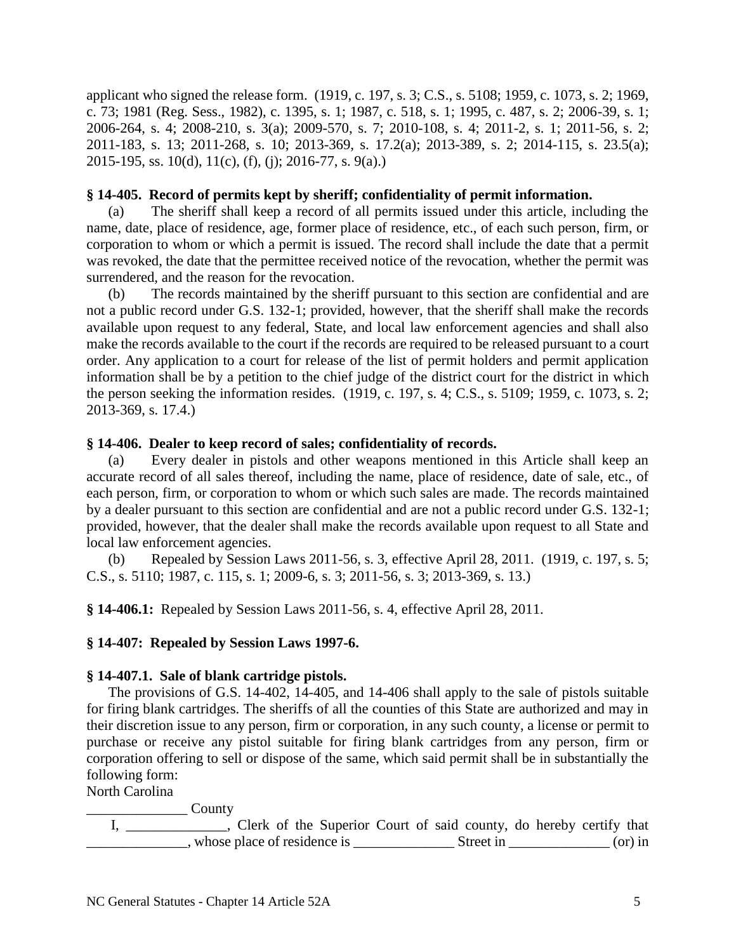applicant who signed the release form. (1919, c. 197, s. 3; C.S., s. 5108; 1959, c. 1073, s. 2; 1969, c. 73; 1981 (Reg. Sess., 1982), c. 1395, s. 1; 1987, c. 518, s. 1; 1995, c. 487, s. 2; 2006-39, s. 1; 2006-264, s. 4; 2008-210, s. 3(a); 2009-570, s. 7; 2010-108, s. 4; 2011-2, s. 1; 2011-56, s. 2; 2011-183, s. 13; 2011-268, s. 10; 2013-369, s. 17.2(a); 2013-389, s. 2; 2014-115, s. 23.5(a); 2015-195, ss. 10(d), 11(c), (f), (j); 2016-77, s. 9(a).)

## **§ 14-405. Record of permits kept by sheriff; confidentiality of permit information.**

(a) The sheriff shall keep a record of all permits issued under this article, including the name, date, place of residence, age, former place of residence, etc., of each such person, firm, or corporation to whom or which a permit is issued. The record shall include the date that a permit was revoked, the date that the permittee received notice of the revocation, whether the permit was surrendered, and the reason for the revocation.

(b) The records maintained by the sheriff pursuant to this section are confidential and are not a public record under G.S. 132-1; provided, however, that the sheriff shall make the records available upon request to any federal, State, and local law enforcement agencies and shall also make the records available to the court if the records are required to be released pursuant to a court order. Any application to a court for release of the list of permit holders and permit application information shall be by a petition to the chief judge of the district court for the district in which the person seeking the information resides. (1919, c. 197, s. 4; C.S., s. 5109; 1959, c. 1073, s. 2; 2013-369, s. 17.4.)

# **§ 14-406. Dealer to keep record of sales; confidentiality of records.**

(a) Every dealer in pistols and other weapons mentioned in this Article shall keep an accurate record of all sales thereof, including the name, place of residence, date of sale, etc., of each person, firm, or corporation to whom or which such sales are made. The records maintained by a dealer pursuant to this section are confidential and are not a public record under G.S. 132-1; provided, however, that the dealer shall make the records available upon request to all State and local law enforcement agencies.

(b) Repealed by Session Laws 2011-56, s. 3, effective April 28, 2011. (1919, c. 197, s. 5; C.S., s. 5110; 1987, c. 115, s. 1; 2009-6, s. 3; 2011-56, s. 3; 2013-369, s. 13.)

**§ 14-406.1:** Repealed by Session Laws 2011-56, s. 4, effective April 28, 2011.

# **§ 14-407: Repealed by Session Laws 1997-6.**

#### **§ 14-407.1. Sale of blank cartridge pistols.**

The provisions of G.S. 14-402, 14-405, and 14-406 shall apply to the sale of pistols suitable for firing blank cartridges. The sheriffs of all the counties of this State are authorized and may in their discretion issue to any person, firm or corporation, in any such county, a license or permit to purchase or receive any pistol suitable for firing blank cartridges from any person, firm or corporation offering to sell or dispose of the same, which said permit shall be in substantially the following form:

North Carolina

\_\_\_\_\_\_\_\_\_\_\_\_\_\_ County I, \_\_\_\_\_\_\_\_\_\_\_, Clerk of the Superior Court of said county, do hereby certify that \_\_\_\_\_\_\_\_\_\_\_\_\_\_, whose place of residence is \_\_\_\_\_\_\_\_\_\_\_\_\_\_ Street in \_\_\_\_\_\_\_\_\_\_\_\_\_\_ (or) in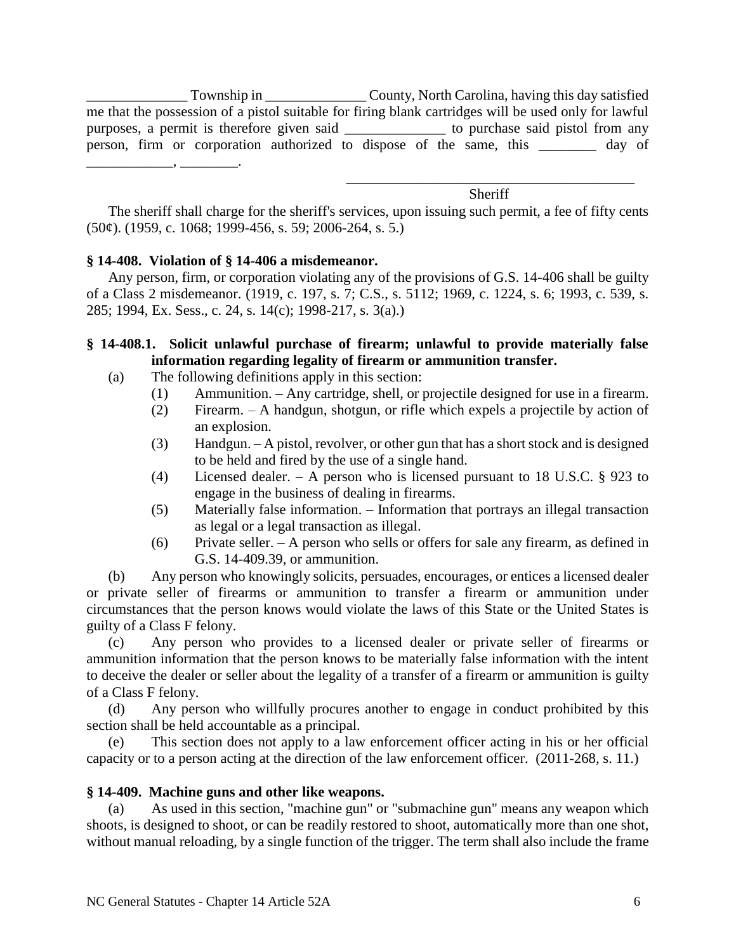\_\_\_\_\_\_\_\_\_\_\_\_\_\_ Township in \_\_\_\_\_\_\_\_\_\_\_\_\_\_ County, North Carolina, having this day satisfied me that the possession of a pistol suitable for firing blank cartridges will be used only for lawful purposes, a permit is therefore given said \_\_\_\_\_\_\_\_\_\_\_\_\_\_ to purchase said pistol from any person, firm or corporation authorized to dispose of the same, this \_\_\_\_\_\_\_\_ day of \_\_\_\_\_\_\_\_\_\_\_\_, \_\_\_\_\_\_\_\_.

> \_\_\_\_\_\_\_\_\_\_\_\_\_\_\_\_\_\_\_\_\_\_\_\_\_\_\_\_\_\_\_\_\_\_\_\_\_\_\_\_ Sheriff

The sheriff shall charge for the sheriff's services, upon issuing such permit, a fee of fifty cents  $(50¢)$ . (1959, c. 1068; 1999-456, s. 59; 2006-264, s. 5.)

# **§ 14-408. Violation of § 14-406 a misdemeanor.**

Any person, firm, or corporation violating any of the provisions of G.S. 14-406 shall be guilty of a Class 2 misdemeanor. (1919, c. 197, s. 7; C.S., s. 5112; 1969, c. 1224, s. 6; 1993, c. 539, s. 285; 1994, Ex. Sess., c. 24, s. 14(c); 1998-217, s. 3(a).)

# **§ 14-408.1. Solicit unlawful purchase of firearm; unlawful to provide materially false information regarding legality of firearm or ammunition transfer.**

- (a) The following definitions apply in this section:
	- (1) Ammunition. Any cartridge, shell, or projectile designed for use in a firearm.
	- (2) Firearm. A handgun, shotgun, or rifle which expels a projectile by action of an explosion.
	- (3) Handgun. A pistol, revolver, or other gun that has a short stock and is designed to be held and fired by the use of a single hand.
	- (4) Licensed dealer. A person who is licensed pursuant to 18 U.S.C. § 923 to engage in the business of dealing in firearms.
	- (5) Materially false information. Information that portrays an illegal transaction as legal or a legal transaction as illegal.
	- (6) Private seller. A person who sells or offers for sale any firearm, as defined in G.S. 14-409.39, or ammunition.

(b) Any person who knowingly solicits, persuades, encourages, or entices a licensed dealer or private seller of firearms or ammunition to transfer a firearm or ammunition under circumstances that the person knows would violate the laws of this State or the United States is guilty of a Class F felony.

(c) Any person who provides to a licensed dealer or private seller of firearms or ammunition information that the person knows to be materially false information with the intent to deceive the dealer or seller about the legality of a transfer of a firearm or ammunition is guilty of a Class F felony.

(d) Any person who willfully procures another to engage in conduct prohibited by this section shall be held accountable as a principal.

(e) This section does not apply to a law enforcement officer acting in his or her official capacity or to a person acting at the direction of the law enforcement officer. (2011-268, s. 11.)

# **§ 14-409. Machine guns and other like weapons.**

(a) As used in this section, "machine gun" or "submachine gun" means any weapon which shoots, is designed to shoot, or can be readily restored to shoot, automatically more than one shot, without manual reloading, by a single function of the trigger. The term shall also include the frame